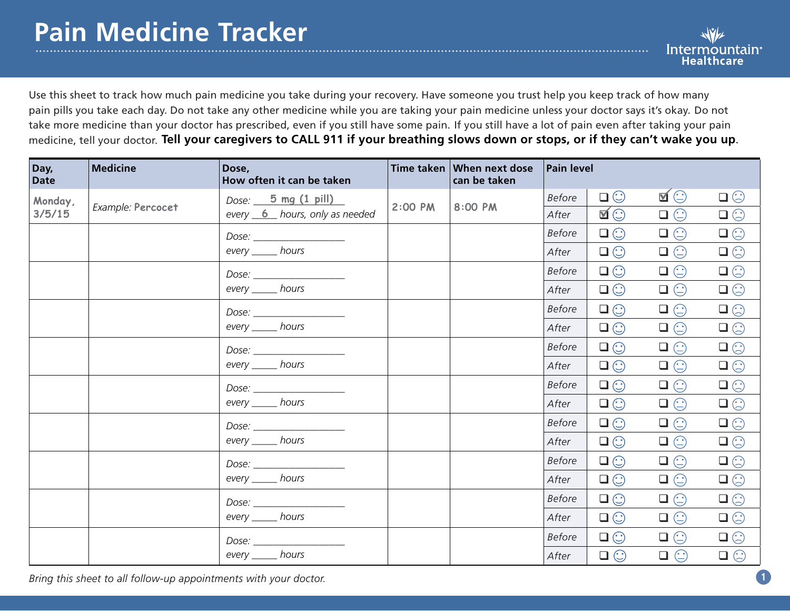. . . . . . . . . . . . . . . . .

Use this sheet to track how much pain medicine you take during your recovery. Have someone you trust help you keep track of how many pain pills you take each day. Do not take any other medicine while you are taking your pain medicine unless your doctor says it's okay. Do not take more medicine than your doctor has prescribed, even if you still have some pain. If you still have a lot of pain even after taking your pain medicine, tell your doctor. **Tell your caregivers to CALL 911 if your breathing slows down or stops, or if they can't wake you up**.

| Day,<br><b>Date</b> | <b>Medicine</b>   | Dose,<br>How often it can be taken                                                                                                                                                                                             | Time taken | When next dose<br>can be taken | <b>Pain level</b> |              |                 |                 |
|---------------------|-------------------|--------------------------------------------------------------------------------------------------------------------------------------------------------------------------------------------------------------------------------|------------|--------------------------------|-------------------|--------------|-----------------|-----------------|
| Monday,<br>3/5/15   | Example: Percocet | Dose: $\frac{5 \text{ mg} (1 \text{ pill})}{2}$                                                                                                                                                                                | 2:00 PM    | 8:00 PM                        | <b>Before</b>     | $\Box$       | $\blacksquare$  | $\Box$          |
|                     |                   | every 6 hours, only as needed                                                                                                                                                                                                  |            |                                | After             | $\mathbf{N}$ | $\square \odot$ | $\square \odot$ |
|                     |                   |                                                                                                                                                                                                                                |            |                                | <b>Before</b>     | $\square$    | $\Box \odot$    | $\square$       |
|                     |                   | every ______ hours                                                                                                                                                                                                             |            |                                | After             | $\square$    | $\square \odot$ | $\square \odot$ |
|                     |                   |                                                                                                                                                                                                                                |            |                                | <b>Before</b>     | $\Box$       | $\square \odot$ | $\square \odot$ |
|                     |                   | every _______ hours                                                                                                                                                                                                            |            |                                | After             | $\square$    | $\square \odot$ | $\square \odot$ |
|                     |                   | Dose: the contract of the contract of the contract of the contract of the contract of the contract of the contract of the contract of the contract of the contract of the contract of the contract of the contract of the cont |            |                                | <b>Before</b>     | $\square$    | $\square \odot$ | $\square \odot$ |
|                     |                   | every _______ hours                                                                                                                                                                                                            |            |                                | After             | $\Box$       | $\Box$ math>    | $\square \odot$ |
|                     |                   |                                                                                                                                                                                                                                |            |                                | <b>Before</b>     | $\Box$       | $\Box \odot$    | $\square$       |
|                     |                   | every ______ hours                                                                                                                                                                                                             |            |                                | After             | $\Box$       | $\Box$ math>    | $\Box$ math>    |
|                     |                   |                                                                                                                                                                                                                                |            |                                | <b>Before</b>     | $\square$    | $\Box \odot$    | $\square \odot$ |
|                     |                   | every _______ hours                                                                                                                                                                                                            |            |                                | After             | $\Box$       | $\Box$ math>    | $\Box$ math>    |
|                     |                   |                                                                                                                                                                                                                                |            |                                | <b>Before</b>     | $\Box$       | $\Box$ math>    | $\square \odot$ |
|                     |                   | every ______ hours                                                                                                                                                                                                             |            |                                | After             | $\square$    | $\Box$ math>    | $\square \odot$ |
|                     |                   |                                                                                                                                                                                                                                |            |                                | <b>Before</b>     | $\Box$       | $\Box \odot$    | $\square \odot$ |
|                     |                   | every ______ hours                                                                                                                                                                                                             |            |                                | After             | $\Box$       | $\Box$ math>    | $\square \odot$ |
|                     |                   |                                                                                                                                                                                                                                |            |                                | <b>Before</b>     | $\Box$       | $\Box$ math>    | $\square \odot$ |
|                     |                   | every _______ hours                                                                                                                                                                                                            |            |                                | After             | $\Box$       | $\square \odot$ | $\Box$          |
|                     |                   | Dose: __________________                                                                                                                                                                                                       |            |                                | <b>Before</b>     | $\Box$       | $\Box$ math>    | $\square \odot$ |
|                     |                   | every ______ hours                                                                                                                                                                                                             |            |                                | After             | $\Box$       | $\Box$ math>    | $\square \odot$ |